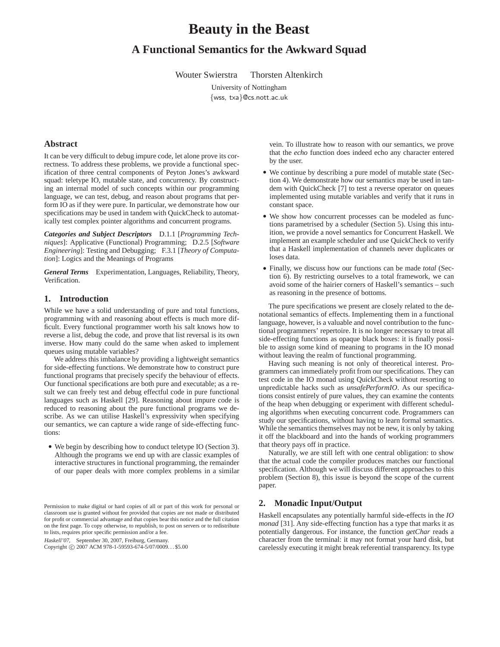# **Beauty in the Beast**

# **A Functional Semantics for the Awkward Squad**

Wouter Swierstra Thorsten Altenkirch

University of Nottingham {wss, txa}@cs.nott.ac.uk

# **Abstract**

It can be very difficult to debug impure code, let alone prove its correctness. To address these problems, we provide a functional specification of three central components of Peyton Jones's awkward squad: teletype IO, mutable state, and concurrency. By constructing an internal model of such concepts within our programming language, we can test, debug, and reason about programs that perform IO as if they were pure. In particular, we demonstrate how our specifications may be used in tandem with QuickCheck to automatically test complex pointer algorithms and concurrent programs.

*Categories and Subject Descriptors* D.1.1 [*Programming Techniques*]: Applicative (Functional) Programming; D.2.5 [*Software Engineering*]: Testing and Debugging; F.3.1 [*Theory of Computation*]: Logics and the Meanings of Programs

*General Terms* Experimentation, Languages, Reliability, Theory, Verification.

# **1. Introduction**

While we have a solid understanding of pure and total functions, programming with and reasoning about effects is much more difficult. Every functional programmer worth his salt knows how to reverse a list, debug the code, and prove that list reversal is its own inverse. How many could do the same when asked to implement queues using mutable variables?

We address this imbalance by providing a lightweight semantics for side-effecting functions. We demonstrate how to construct pure functional programs that precisely specify the behaviour of effects. Our functional specifications are both pure and executable; as a result we can freely test and debug effectful code in pure functional languages such as Haskell [29]. Reasoning about impure code is reduced to reasoning about the pure functional programs we describe. As we can utilise Haskell's expressivity when specifying our semantics, we can capture a wide range of side-effecting functions:

• We begin by describing how to conduct teletype IO (Section 3). Although the programs we end up with are classic examples of interactive structures in functional programming, the remainder of our paper deals with more complex problems in a similar

Haskell'07, September 30, 2007, Freiburg, Germany.

Copyright © 2007 ACM 978-1-59593-674-5/07/0009... \$5.00

vein. To illustrate how to reason with our semantics, we prove that the *echo* function does indeed echo any character entered by the user.

- We continue by describing a pure model of mutable state (Section 4). We demonstrate how our semantics may be used in tandem with QuickCheck [7] to test a reverse operator on queues implemented using mutable variables and verify that it runs in constant space.
- We show how concurrent processes can be modeled as functions parametrised by a scheduler (Section 5). Using this intuition, we provide a novel semantics for Concurrent Haskell. We implement an example scheduler and use QuickCheck to verify that a Haskell implementation of channels never duplicates or loses data.
- Finally, we discuss how our functions can be made *total* (Section 6). By restricting ourselves to a total framework, we can avoid some of the hairier corners of Haskell's semantics – such as reasoning in the presence of bottoms.

The pure specifications we present are closely related to the denotational semantics of effects. Implementing them in a functional language, however, is a valuable and novel contribution to the functional programmers' repertoire. It is no longer necessary to treat all side-effecting functions as opaque black boxes: it is finally possible to assign some kind of meaning to programs in the IO monad without leaving the realm of functional programming.

Having such meaning is not only of theoretical interest. Programmers can immediately profit from our specifications. They can test code in the IO monad using QuickCheck without resorting to unpredictable hacks such as *unsafePerformIO*. As our specifications consist entirely of pure values, they can examine the contents of the heap when debugging or experiment with different scheduling algorithms when executing concurrent code. Programmers can study our specifications, without having to learn formal semantics. While the semantics themselves may not be new, it is only by taking it off the blackboard and into the hands of working programmers that theory pays off in practice.

Naturally, we are still left with one central obligation: to show that the actual code the compiler produces matches our functional specification. Although we will discuss different approaches to this problem (Section 8), this issue is beyond the scope of the current paper.

# **2. Monadic Input/Output**

Haskell encapsulates any potentially harmful side-effects in the *IO monad* [31]. Any side-effecting function has a type that marks it as potentially dangerous. For instance, the function *getChar* reads a character from the terminal: it may not format your hard disk, but carelessly executing it might break referential transparency. Its type

Permission to make digital or hard copies of all or part of this work for personal or classroom use is granted without fee provided that copies are not made or distributed for profit or commercial advantage and that copies bear this notice and the full citation on the first page. To copy otherwise, to republish, to post on servers or to redistribute to lists, requires prior specific permission and/or a fee.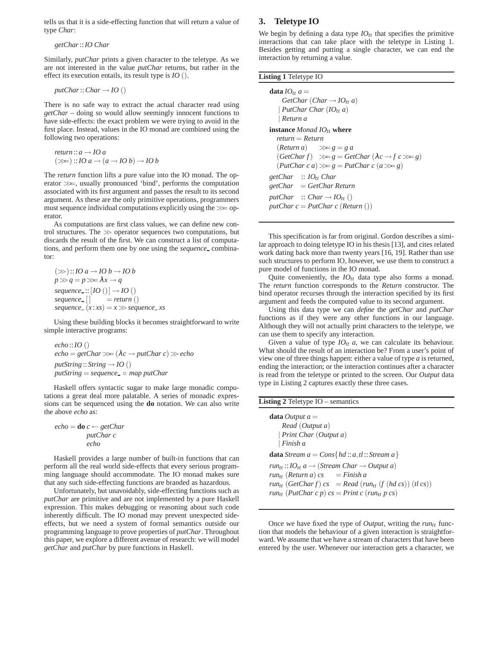tells us that it is a side-effecting function that will return a value of type *Char*:

#### *getChar*::*IO Char*

Similarly, *putChar* prints a given character to the teletype. As we are not interested in the value *putChar* returns, but rather in the effect its execution entails, its result type is *IO* ().

$$
putChar::Char \rightarrow IO()
$$

There is no safe way to extract the actual character read using *getChar* – doing so would allow seemingly innocent functions to have side-effects: the exact problem we were trying to avoid in the first place. Instead, values in the IO monad are combined using the following two operations:

return :: 
$$
a \rightarrow IO
$$
 a  
 $(\gg\equiv)$  ::  $IO$   $a \rightarrow (a \rightarrow IOb) \rightarrow IOb$ 

The *return* function lifts a pure value into the IO monad. The operator  $\gg$ , usually pronounced 'bind', performs the computation associated with its first argument and passes the result to its second argument. As these are the only primitive operations, programmers must sequence individual computations explicitly using the  $\gg$  operator.

As computations are first class values, we can define new control structures. The  $\gg$  operator sequences two computations, but discards the result of the first. We can construct a list of computations, and perform them one by one using the *sequence* combinator:

 $(\gg):$ *IO a*  $\rightarrow$  *IO b*  $\rightarrow$  *IO b*  $p \gg q = p \gg \lambda x \rightarrow q$  $sequence$  :: $[IO()] \rightarrow IO()$  $sequence_{\text{-}}[$  = *return* ()  $sequence_{\alpha}(x:xs) = x \gg sequence_{\alpha}$ 

Using these building blocks it becomes straightforward to write simple interactive programs:

*echo* ::*IO* ()  $echo = getChar \ggg (\lambda c \rightarrow putChar c) \gg echo$  $putString :: String \rightarrow IO()$ *putString* = *sequence* ◦ *map putChar*

Haskell offers syntactic sugar to make large monadic computations a great deal more palatable. A series of monadic expressions can be sequenced using the **do** notation. We can also write the above *echo* as:

$$
echo = \mathbf{do} \ c \leftarrow getChar
$$
  
putChar c  
echo

Haskell provides a large number of built-in functions that can perform all the real world side-effects that every serious programming language should accommodate. The IO monad makes sure that any such side-effecting functions are branded as hazardous.

Unfortunately, but unavoidably, side-effecting functions such as *putChar* are primitive and are not implemented by a pure Haskell expression. This makes debugging or reasoning about such code inherently difficult. The IO monad may prevent unexpected sideeffects, but we need a system of formal semantics outside our programming language to prove properties of *putChar*. Throughout this paper, we explore a different avenue of research: we will model *getChar* and *putChar* by pure functions in Haskell.

# **3. Teletype IO**

We begin by defining a data type  $IO_{tt}$  that specifies the primitive interactions that can take place with the teletype in Listing 1. Besides getting and putting a single character, we can end the interaction by returning a value.

## **Listing 1** Teletype IO

This specification is far from original. Gordon describes a similar approach to doing teletype IO in his thesis [13], and cites related work dating back more than twenty years [16, 19]. Rather than use such structures to perform IO, however, we use them to construct a pure model of functions in the IO monad.

Quite conveniently, the *IO*<sup>tt</sup> data type also forms a monad. The *return* function corresponds to the *Return* constructor. The bind operator recurses through the interaction specified by its first argument and feeds the computed value to its second argument.

Using this data type we can *define* the *getChar* and *putChar* functions as if they were any other functions in our language. Although they will not actually print characters to the teletype, we can use them to specify any interaction.

Given a value of type  $IO_{tt}$  *a*, we can calculate its behaviour. What should the result of an interaction be? From a user's point of view one of three things happen: either a value of type *a* is returned, ending the interaction; or the interaction continues after a character is read from the teletype or printed to the screen. Our *Output* data type in Listing 2 captures exactly these three cases.

#### **Listing 2** Teletype IO – semantics

| <b>data</b> <i>Output</i> $a =$                                                            |
|--------------------------------------------------------------------------------------------|
| Read (Output a)                                                                            |
| $\vert$ Print Char (Output a)                                                              |
| Finish a                                                                                   |
| <b>data</b> Stream $a = Cons{hd::a, tl::Stream a}$                                         |
| run <sub>tt</sub> :: IO <sub>tt</sub> a $\rightarrow$ (Stream Char $\rightarrow$ Output a) |
| run <sub>tt</sub> (Return a) cs = Finish a                                                 |
| $run_{tt}$ (GetChar f) cs = Read (run <sub>tt</sub> (f (hd cs)) (tl cs))                   |
| run <sub>tt</sub> (PutChar c p) cs = Print c (run <sub>tt</sub> p cs)                      |

Once we have fixed the type of *Output*, writing the *run*<sub>tt</sub> function that models the behaviour of a given interaction is straightforward. We assume that we have a stream of characters that have been entered by the user. Whenever our interaction gets a character, we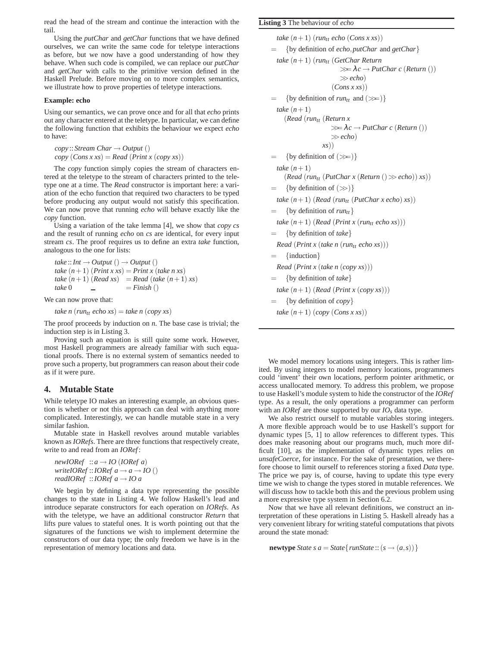read the head of the stream and continue the interaction with the tail.

Using the *putChar* and *getChar* functions that we have defined ourselves, we can write the same code for teletype interactions as before, but we now have a good understanding of how they behave. When such code is compiled, we can replace our *putChar* and *getChar* with calls to the primitive version defined in the Haskell Prelude. Before moving on to more complex semantics, we illustrate how to prove properties of teletype interactions.

#### **Example: echo**

Using our semantics, we can prove once and for all that *echo* prints out any character entered at the teletype. In particular, we can define the following function that exhibits the behaviour we expect *echo* to have:

*copy* :: *Stream Char* → *Output* ()  $copy (Cons x xs) = Read (Print x (copy xs))$ 

The *copy* function simply copies the stream of characters entered at the teletype to the stream of characters printed to the teletype one at a time. The *Read* constructor is important here: a variation of the echo function that required two characters to be typed before producing any output would not satisfy this specification. We can now prove that running *echo* will behave exactly like the *copy* function.

Using a variation of the take lemma [4], we show that *copy cs* and the result of running *echo* on *cs* are identical, for every input stream *cs*. The proof requires us to define an extra *take* function, analogous to the one for lists:

*take* :: *Int*  $\rightarrow$  *Output* ()  $\rightarrow$  *Output* () *take*  $(n+1)$  (*Print x xs*) = *Print x* (*take n xs*) *take*  $(n+1)$  (*Read xs*) = *Read* (*take*  $(n+1)$  *xs*)  $take 0$   $=$   $Finish()$ 

We can now prove that:

$$
take\ n\ (run_{tt}\ echo\ xs) = take\ n\ (copy\ xs)
$$

The proof proceeds by induction on *n*. The base case is trivial; the induction step is in Listing 3.

Proving such an equation is still quite some work. However, most Haskell programmers are already familiar with such equational proofs. There is no external system of semantics needed to prove such a property, but programmers can reason about their code as if it were pure.

# **4. Mutable State**

While teletype IO makes an interesting example, an obvious question is whether or not this approach can deal with anything more complicated. Interestingly, we can handle mutable state in a very similar fashion.

Mutable state in Haskell revolves around mutable variables known as *IORefs*. There are three functions that respectively create, write to and read from an *IORef*:

 $newIORef :: a \rightarrow IO (IORef a)$ *writeIORef* ::*IORef*  $a \rightarrow a \rightarrow IO()$ *readIORef* ::*IORef a* → *IO a*

We begin by defining a data type representing the possible changes to the state in Listing 4. We follow Haskell's lead and introduce separate constructors for each operation on *IORefs*. As with the teletype, we have an additional constructor *Return* that lifts pure values to stateful ones. It is worth pointing out that the signatures of the functions we wish to implement determine the constructors of our data type; the only freedom we have is in the representation of memory locations and data.

#### **Listing 3** The behaviour of *echo*

*take*  $(n+1)$  (*run*<sub>tt</sub> *echo* (*Cons x xs*)) = {by definition of *echo*,*putChar* and *getChar*}  $take (n+1) (run<sub>tt</sub> (GetChar Return$ >>=λ*c* → *PutChar c* (*Return* ()) >>*echo*) (*Cons x xs*)) {by definition of *run*<sub>tt</sub> and ( $\gg$ )} *take*  $(n+1)$ (*Read* (*runtt* (*Return x* >>=λ*c* → *PutChar c* (*Return* ()) >>*echo*) *xs*)) {by definition of  $(\ggg)$ } *take*  $(n+1)$  $(Read (run<sub>tt</sub> (PutChar x (Return ()) \gg echo)) xs))$  $=$  {by definition of  $(\gg)$ } *take*  $(n+1)$  (*Read* (*run*<sub>tt</sub> (*PutChar x echo*) *xs*))  $\{$  by definition of *run*<sub>tt</sub> $\}$ *take*  $(n+1)$  (*Read* (*Print x* (*run*<sub>tt</sub> *echo xs*))) = {by definition of *take*} *Read* (*Print x* (*take n* (*run*<sub>*tt*</sub> *echo xs*))) = {induction} *Read* (*Print x* (*take n* (*copy xs*))) = {by definition of *take*} *take* (*n*+1) (*Read* (*Print x* (*copy xs*))) = {by definition of *copy*} *take* (*n*+1) (*copy* (*Cons x xs*))

We model memory locations using integers. This is rather limited. By using integers to model memory locations, programmers could 'invent' their own locations, perform pointer arithmetic, or access unallocated memory. To address this problem, we propose to use Haskell's module system to hide the constructor of the *IORef* type. As a result, the only operations a programmer can perform with an *IORef* are those supported by our *IOs* data type.

We also restrict ourself to mutable variables storing integers. A more flexible approach would be to use Haskell's support for dynamic types [5, 1] to allow references to different types. This does make reasoning about our programs much, much more difficult [10], as the implementation of dynamic types relies on *unsafeCoerce*, for instance. For the sake of presentation, we therefore choose to limit ourself to references storing a fixed *Data* type. The price we pay is, of course, having to update this type every time we wish to change the types stored in mutable references. We will discuss how to tackle both this and the previous problem using a more expressive type system in Section 6.2.

Now that we have all relevant definitions, we construct an interpretation of these operations in Listing 5. Haskell already has a very convenient library for writing stateful computations that pivots around the state monad:

**newtype** *State*  $s$   $a = State{$ run*State* :: ( $s \rightarrow (a, s)$ ) }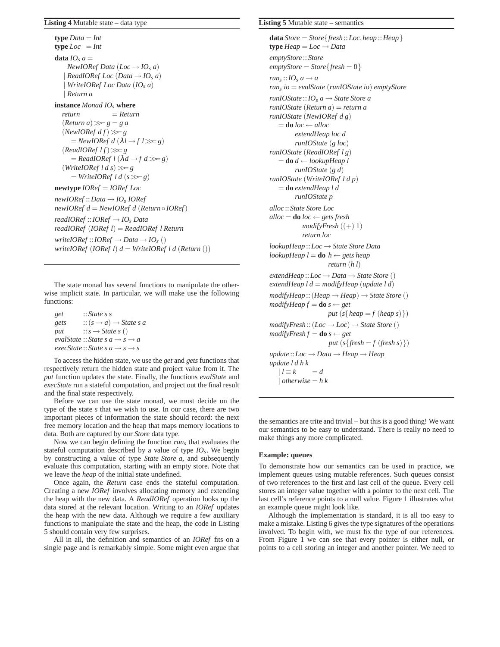**type** *Data* = *Int*  $\tt type Loc = Int$ **data**  $IO_s$   $a =$ *NewIORef Data* ( $Loc \rightarrow IO_s a)$  $ReadIORef Loc (Data \rightarrow IO_s a)$ | *WriteIORef Loc Data* (*IOs a*) | *Return a*

# **instance** *Monad IOs* **where**

*return* = *Return*  $(Return a) \gg g = g a$  $(NewIORef df) \gg g$  $=$ *NewIORef d* ( $\lambda l \rightarrow f$   $l \gg g$ )  $(ReadIORef 1f) \gg g$  $=$  *ReadIORef*  $l$  ( $\lambda d \rightarrow f d \gg g$ )  $(WritelORef$  l d s)  $\gg g$  $=$  *WriteIORef l d* ( $s \geq g$ )

**newtype** *IORef* = *IORef Loc*  $newIORef :: Data \rightarrow IO_s IORef$  $newIORef$   $d = NewIORef$   $d$   $(Return \circ IORef)$ *readIORef* ::*IORef* → *IOs Data readIORef* (*IORef l*) = *ReadIORef l Return writeIORef* ::*IORef*  $\rightarrow$  *Data*  $\rightarrow$  *IO<sub>s</sub>* () *writeIORef*  $(IORef \, l) \, d = WriteIORef \, l \, d \, (Return \, () )$ 

The state monad has several functions to manipulate the otherwise implicit state. In particular, we will make use the following functions:

*get* :: *State s s*  $gets$  ::  $(s \rightarrow a) \rightarrow State \, s \, a$ *put*  $:: s \rightarrow State s()$  $evalState :: State s a \rightarrow s \rightarrow a$  $execState :: State s a \rightarrow s \rightarrow s$ 

To access the hidden state, we use the *get* and *gets* functions that respectively return the hidden state and project value from it. The *put* function updates the state. Finally, the functions *evalState* and *execState* run a stateful computation, and project out the final result and the final state respectively.

Before we can use the state monad, we must decide on the type of the state *s* that we wish to use. In our case, there are two important pieces of information the state should record: the next free memory location and the heap that maps memory locations to data. Both are captured by our *Store* data type.

Now we can begin defining the function *runs* that evaluates the stateful computation described by a value of type  $IO<sub>s</sub>$ . We begin by constructing a value of type *State Store a*, and subsequently evaluate this computation, starting with an empty store. Note that we leave the *heap* of the initial state undefined.

Once again, the *Return* case ends the stateful computation. Creating a new *IORef* involves allocating memory and extending the heap with the new data. A *ReadIORef* operation looks up the data stored at the relevant location. Writing to an *IORef* updates the heap with the new data. Although we require a few auxiliary functions to manipulate the state and the heap, the code in Listing 5 should contain very few surprises.

All in all, the definition and semantics of an *IORef* fits on a single page and is remarkably simple. Some might even argue that

## **Listing 5** Mutable state – semantics

**data** *Store* = *Store*{*fresh* ::*Loc*,*heap* ::*Heap*} **type**  $Heap = Loc \rightarrow Data$ *emptyStore* :: *Store*  $emptyStore = Store { fresh = 0}$  $run_s :: IO_s a \rightarrow a$ *runs io* = *evalState* (*runIOState io*) *emptyStore runIOState* ::*IOs a* → *State Store a runIOState* (*Return a*) = *return a runIOState* (*NewIORef d g*)  $=$ **do**  $loc \leftarrow$ **alloc** *extendHeap loc d runIOState* (*g loc*) *runIOState* (*ReadIORef l g*)  $=$ **do**  $d \leftarrow$ *lookupHeap l runIOState* (*g d*) *runIOState* (*WriteIORef l d p*) = **do** *extendHeap l d runIOState p alloc* ::*State Store Loc*  $alloc =$ **do**  $loc \leftarrow gets$  *fresh*  $modifyFresh ((+) 1)$ *return loc lookupHeap* ::*Loc* → *State Store Data lookupHeap*  $l =$  **do**  $h \leftarrow$  *gets heap return* (*h l*)  $extendHeap::Loc \rightarrow Data \rightarrow State Store()$ *extendHeap l d* = *modifyHeap* (*update l d*)  $modifyHeap::(Heap \rightarrowHeap) \rightarrow State Store()$ *modifyHeap f* = **do**  $s \leftarrow get$ *put*  $(s \{ \text{heap} = f \text{ (heap } s) \})$ *modifyFresh* ::(*Loc* → *Loc*) → *State Store* () *modifyFresh f* = **do**  $s \leftarrow get$ *put*  $(s \{ \text{fresh} = f \text{ (} \text{fresh} \text{ s} \text{)} \})$ *update* ::*Loc* → *Data* → *Heap* → *Heap update l d h k*  $l \equiv k$  = *d*  $\alpha$  *otherwise* =  $h$   $k$ 

the semantics are trite and trivial – but this is a good thing! We want our semantics to be easy to understand. There is really no need to make things any more complicated.

## **Example: queues**

To demonstrate how our semantics can be used in practice, we implement queues using mutable references. Such queues consist of two references to the first and last cell of the queue. Every cell stores an integer value together with a pointer to the next cell. The last cell's reference points to a null value. Figure 1 illustrates what an example queue might look like.

Although the implementation is standard, it is all too easy to make a mistake. Listing 6 gives the type signatures of the operations involved. To begin with, we must fix the type of our references. From Figure 1 we can see that every pointer is either null, or points to a cell storing an integer and another pointer. We need to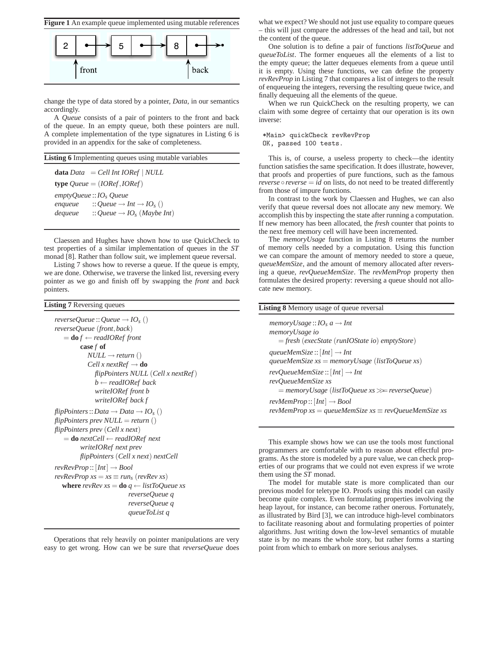**Figure 1** An example queue implemented using mutable references



change the type of data stored by a pointer, *Data*, in our semantics accordingly.

A *Queue* consists of a pair of pointers to the front and back of the queue. In an empty queue, both these pointers are null. A complete implementation of the type signatures in Listing 6 is provided in an appendix for the sake of completeness.

**Listing 6** Implementing queues using mutable variables

 $data Data = Cell Int IORef | NULL$ **type** *Queue* = (*IORef*,*IORef*) *emptyQueue* ::*IOs Queue enqueue*  $\therefore$  *Queue*  $\rightarrow$  *Int*  $\rightarrow$  *IO*<sub>*s*</sub> () *dequeue*  $\therefore$  *Queue*  $\rightarrow$  *IO*<sub>*s*</sub> (*Maybe Int*)

Claessen and Hughes have shown how to use QuickCheck to test properties of a similar implementation of queues in the *ST* monad [8]. Rather than follow suit, we implement queue reversal.

Listing 7 shows how to reverse a queue. If the queue is empty, we are done. Otherwise, we traverse the linked list, reversing every pointer as we go and finish off by swapping the *front* and *back* pointers.

# **Listing 7** Reversing queues

 $reverseQueue ::Queue \rightarrow IO_s()$ *reverseQueue* (*front*,*back*)  $=$ **do**  $f \leftarrow \text{readIORef}$  front **case** *f* **of**  $NULL \rightarrow return()$ *Cell x nextRef* → **do** *flipPointers NULL* (*Cell x nextRef*) *b* ← *readIORef back writeIORef front b writeIORef back f flipPointers*::*Data*  $\rightarrow$  *Data*  $\rightarrow$  *IO<sub>s</sub>* () *flipPointers prev NULL* = *return* () *flipPointers prev* (*Cell x next*) = **do** *nextCell* ← *readIORef next writeIORef next prev flipPointers* (*Cell x next*) *nextCell*  $revRevProp :: [Int] \rightarrow Bool$  $revRevProp$   $xs = xs \equiv run_s (revRev xs)$ **where**  $revRev$   $xs =$  **do**  $q \leftarrow$  *listToQueue xs reverseQueue q reverseQueue q queueToList q*

Operations that rely heavily on pointer manipulations are very easy to get wrong. How can we be sure that *reverseQueue* does

what we expect? We should not just use equality to compare queues – this will just compare the addresses of the head and tail, but not the content of the queue.

One solution is to define a pair of functions *listToQueue* and *queueToList*. The former enqueues all the elements of a list to the empty queue; the latter dequeues elements from a queue until it is empty. Using these functions, we can define the property *revRevProp* in Listing 7 that compares a list of integers to the result of enqueueing the integers, reversing the resulting queue twice, and finally dequeuing all the elements of the queue.

When we run QuickCheck on the resulting property, we can claim with some degree of certainty that our operation is its own inverse:

#### \*Main> quickCheck revRevProp OK, passed 100 tests.

This is, of course, a useless property to check—the identity function satisfies the same specification. It does illustrate, however, that proofs and properties of pure functions, such as the famous *reverse*  $\circ$  *reverse*  $=$  *id* on lists, do not need to be treated differently from those of impure functions.

In contrast to the work by Claessen and Hughes, we can also verify that queue reversal does not allocate any new memory. We accomplish this by inspecting the state after running a computation. If new memory has been allocated, the *fresh* counter that points to the next free memory cell will have been incremented.

The *memoryUsage* function in Listing 8 returns the number of memory cells needed by a computation. Using this function we can compare the amount of memory needed to store a queue, *queueMemSize*, and the amount of memory allocated after reversing a queue, *revQueueMemSize*. The *revMemProp* property then formulates the desired property: reversing a queue should not allocate new memory.

| <b>Listing 8</b> Memory usage of queue reversal                                                                       |  |  |  |  |  |  |
|-----------------------------------------------------------------------------------------------------------------------|--|--|--|--|--|--|
| memoryUsage:: $IO$ , $a \rightarrow Int$<br>memoryUsage io<br>$=$ fresh (execState (runIOState io) emptyStore)        |  |  |  |  |  |  |
| queueMemSize:: $[Int] \rightarrow Int$<br>queueMemSize $xs = memoryUsage$ (listToQueue xs)                            |  |  |  |  |  |  |
| $revQueueMemSize:: Int  \rightarrow Int$<br>revOueueMemSize xs<br>$=$ memoryUsage (listToQueue xs $\gg$ reverseQueue) |  |  |  |  |  |  |
| $revMemProp::[Int] \rightarrow Bool$<br>revMemProp xs = queueMemSize xs = revQueueMemSize xs                          |  |  |  |  |  |  |

This example shows how we can use the tools most functional programmers are comfortable with to reason about effectful programs. As the store is modeled by a pure value, we can check properties of our programs that we could not even express if we wrote them using the *ST* monad.

The model for mutable state is more complicated than our previous model for teletype IO. Proofs using this model can easily become quite complex. Even formulating properties involving the heap layout, for instance, can become rather onerous. Fortunately, as illustrated by Bird [3], we can introduce high-level combinators to facilitate reasoning about and formulating properties of pointer algorithms. Just writing down the low-level semantics of mutable state is by no means the whole story, but rather forms a starting point from which to embark on more serious analyses.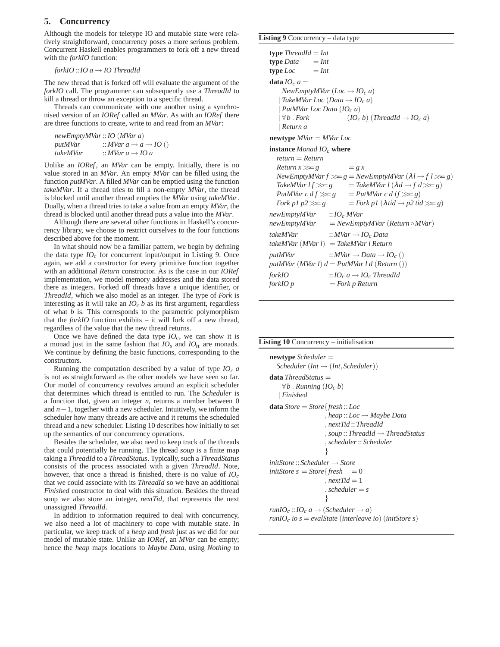# **5. Concurrency**

Although the models for teletype IO and mutable state were relatively straightforward, concurrency poses a more serious problem. Concurrent Haskell enables programmers to fork off a new thread with the *forkIO* function:

*forkIO* ::*IO a* → *IO ThreadId*

The new thread that is forked off will evaluate the argument of the *forkIO* call. The programmer can subsequently use a *ThreadId* to kill a thread or throw an exception to a specific thread.

Threads can communicate with one another using a synchronised version of an *IORef* called an *MVar*. As with an *IORef* there are three functions to create, write to and read from an *MVar*:

```
newEmptyMVar::IO (MVar a)
putMVar ::MVar a \rightarrow a \rightarrow IO()takeMVar ::MVar a \rightarrow IOa
```
Unlike an *IORef*, an *MVar* can be empty. Initially, there is no value stored in an *MVar*. An empty *MVar* can be filled using the function *putMVar*. A filled *MVar* can be emptied using the function *takeMVar*. If a thread tries to fill a non-empty *MVar*, the thread is blocked until another thread empties the *MVar* using *takeMVar*. Dually, when a thread tries to take a value from an empty *MVar*, the thread is blocked until another thread puts a value into the *MVar*.

Although there are several other functions in Haskell's concurrency library, we choose to restrict ourselves to the four functions described above for the moment.

In what should now be a familiar pattern, we begin by defining the data type  $IO_c$  for concurrent input/output in Listing 9. Once again, we add a constructor for every primitive function together with an additional *Return* constructor. As is the case in our *IORef* implementation, we model memory addresses and the data stored there as integers. Forked off threads have a unique identifier, or *ThreadId*, which we also model as an integer. The type of *Fork* is interesting as it will take an *IOc b* as its first argument, regardless of what *b* is. This corresponds to the parametric polymorphism that the *forkIO* function exhibits – it will fork off a new thread, regardless of the value that the new thread returns.

Once we have defined the data type  $IO_c$ , we can show it is a monad just in the same fashion that *IOs* and *IOtt* are monads. We continue by defining the basic functions, corresponding to the constructors.

Running the computation described by a value of type *IOc a* is not as straightforward as the other models we have seen so far. Our model of concurrency revolves around an explicit scheduler that determines which thread is entitled to run. The *Scheduler* is a function that, given an integer *n*, returns a number between 0 and *n*−1, together with a new scheduler. Intuitively, we inform the scheduler how many threads are active and it returns the scheduled thread and a new scheduler. Listing 10 describes how initially to set up the semantics of our concurrency operations.

Besides the scheduler, we also need to keep track of the threads that could potentially be running. The thread *soup* is a finite map taking a *ThreadId* to a *ThreadStatus*. Typically, such a *ThreadStatus* consists of the process associated with a given *ThreadId*. Note, however, that once a thread is finished, there is no value of *IOc* that we could associate with its *ThreadId* so we have an additional *Finished* constructor to deal with this situation. Besides the thread soup we also store an integer, *nextTid*, that represents the next unassigned *ThreadId*.

In addition to information required to deal with concurrency, we also need a lot of machinery to cope with mutable state. In particular, we keep track of a *heap* and *fresh* just as we did for our model of mutable state. Unlike an *IORef*, an *MVar* can be empty; hence the *heap* maps locations to *Maybe Data*, using *Nothing* to

**Listing 9** Concurrency – data type

```
type ThreadId = Int
\t<b>type</b> Data = Int\tt type Loc = Intdata IO_c a =NewEmptyMVar (Loc \rightarrow IO_c a)TakeMVar Loc (Data \rightarrow IO<sub>c</sub> a)| PutMVar Loc Data (IOc a)
    \forall b. Fork (IO<sub>c</sub> b) (ThreadId \rightarrow IO<sub>c</sub> a)
    | Return a
newtype MVar = MVar Loc
instance Monad IOc where
  return = Return
  Return x \gg g = g x
  NewEmptyMVar f \gg g = NewEmptyMVar (\lambda l \rightarrow f l \gg g)TakeMVar \, \mathit{l} f \gg g = TakeMVar \, \mathit{l} (\lambda \, d \rightarrow f \, d \gg g)PutMVar c \, d \, f \gg g = PutMVar c \, d \, (f \gg g)Fork p1 p2 \gg g = Fork p1 (\lambdatid \rightarrow p2 tid \gg g)
newEmptyMVar ::IOc MVar
newEmptyMVar = NewEmptyMVar (Return <math>oMVar</math>)takeMVar ::MVar \rightarrow IO<sub>c</sub> Data
takeMVar (MVar l) = TakeMVar l Return
putMVar ::MVar \rightarrow Data \rightarrow IO_c()putMVar (MVar l) d = PutMVar l d (Return ())
forkIO ::IO_c a \rightarrow IO_c ThreadId
forkIO p = Fork p Return
```

|  | <b>Listing 10</b> Concurrency – initialisation |  |  |
|--|------------------------------------------------|--|--|
|  |                                                |  |  |

**newtype** *Scheduler* =  $Scheduling (Int \rightarrow (Int, Scheduler))$ **data** *ThreadStatus* = ∀*b* . *Running* (*IOc b*) | *Finished* **data** *Store* = *Store*{*fresh* ::*Loc* , *heap* ::*Loc* → *Maybe Data* , *nextTid* ::*ThreadId* , *soup* ::*ThreadId* → *ThreadStatus* , *scheduler*:: *Scheduler* } *initStore* :: *Scheduler* → *Store*  $initStore s = Store{$ *fresh* = 0  $, nextTid = 1$  $, *schedule* r = s$ }  $runIO_c :: IO_c a \rightarrow (Scheduler \rightarrow a)$ *runIO<sub>c</sub> io s* = *evalState* (*interleave io*) (*initStore s*)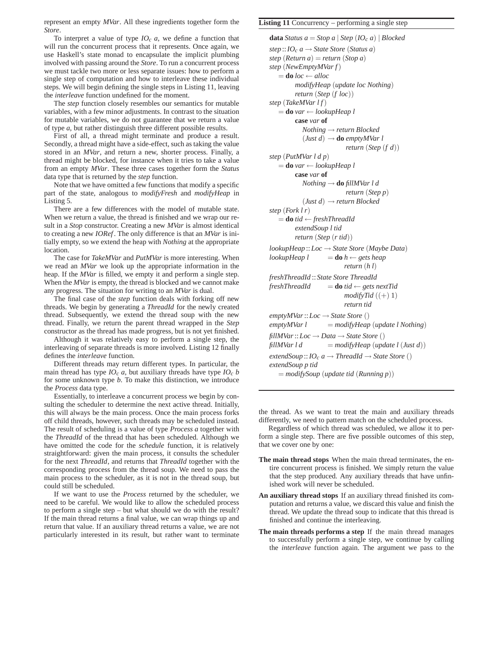represent an empty *MVar*. All these ingredients together form the *Store*.

To interpret a value of type  $IO_c$  *a*, we define a function that will run the concurrent process that it represents. Once again, we use Haskell's state monad to encapsulate the implicit plumbing involved with passing around the *Store*. To run a concurrent process we must tackle two more or less separate issues: how to perform a single step of computation and how to interleave these individual steps. We will begin defining the single steps in Listing 11, leaving the *interleave* function undefined for the moment.

The *step* function closely resembles our semantics for mutable variables, with a few minor adjustments. In contrast to the situation for mutable variables, we do not guarantee that we return a value of type *a*, but rather distinguish three different possible results.

First of all, a thread might terminate and produce a result. Secondly, a thread might have a side-effect, such as taking the value stored in an *MVar*, and return a new, shorter process. Finally, a thread might be blocked, for instance when it tries to take a value from an empty *MVar*. These three cases together form the *Status* data type that is returned by the *step* function.

Note that we have omitted a few functions that modify a specific part of the state, analogous to *modifyFresh* and *modifyHeap* in Listing 5.

There are a few differences with the model of mutable state. When we return a value, the thread is finished and we wrap our result in a *Stop* constructor. Creating a new *MVar* is almost identical to creating a new *IORef*. The only difference is that an *MVar* is initially empty, so we extend the heap with *Nothing* at the appropriate location.

The case for *TakeMVar* and *PutMVar* is more interesting. When we read an *MVar* we look up the appropriate information in the heap. If the *MVar* is filled, we empty it and perform a single step. When the *MVar* is empty, the thread is blocked and we cannot make any progress. The situation for writing to an *MVar* is dual.

The final case of the *step* function deals with forking off new threads. We begin by generating a *ThreadId* for the newly created thread. Subsequently, we extend the thread soup with the new thread. Finally, we return the parent thread wrapped in the *Step* constructor as the thread has made progress, but is not yet finished.

Although it was relatively easy to perform a single step, the interleaving of separate threads is more involved. Listing 12 finally defines the *interleave* function.

Different threads may return different types. In particular, the main thread has type  $IO_c$  *a*, but auxiliary threads have type  $IO_c$  *b* for some unknown type *b*. To make this distinction, we introduce the *Process* data type.

Essentially, to interleave a concurrent process we begin by consulting the scheduler to determine the next active thread. Initially, this will always be the main process. Once the main process forks off child threads, however, such threads may be scheduled instead. The result of scheduling is a value of type *Process a* together with the *ThreadId* of the thread that has been scheduled. Although we have omitted the code for the *schedule* function, it is relatively straightforward: given the main process, it consults the scheduler for the next *ThreadId*, and returns that *ThreadId* together with the corresponding process from the thread soup. We need to pass the main process to the scheduler, as it is not in the thread soup, but could still be scheduled.

If we want to use the *Process* returned by the scheduler, we need to be careful. We would like to allow the scheduled process to perform a single step – but what should we do with the result? If the main thread returns a final value, we can wrap things up and return that value. If an auxiliary thread returns a value, we are not particularly interested in its result, but rather want to terminate

## **Listing 11** Concurrency – performing a single step

```
data Status a = Stop\ a \mid Step\ (IO\ c\ a) \mid Blockedstep :: IO<sub>c</sub> a \rightarrow State Store (Status a)step (Return a) = return (Stop a)step (NewEmptyMVar f)
   =do loc \leftarrowalloc
         modifyHeap (update loc Nothing)
         return (Step (f loc))
step (TakeMVar l f)
   =do var \leftarrow lookupHeap l
         case var of
           Nothing → return Blocked
            (Just d) \rightarrow do emptyMVar l
                           return (Step (f d))
step (PutMVar l d p)
   =do var \leftarrow lookupHeap l
         case var of
           Nothing → do fillMVar l d
                           return (Step p)
            (Just d) \rightarrow return Blockedstep (Fork l r)
   = do tid ← freshThreadId
         extendSoup l tid
         return (Step (r tid))
lookupHeap ::Loc → State Store (Maybe Data)

                           return (h l)
freshThreadId :: State Store ThreadId
{\bf f}reshThreadId = do tid ← gets nextTid
                           modifyTid ((+) 1)return tid
emptyMVar:: Loc \rightarrow State Store ()
emptyMVar l = modifyHeap (update l Nothing)
fillMVar::Loc \rightarrow Data \rightarrow State Store ()
fillMVar l d = modifyHeap (update l (Just d))
extendSoup ::IO<sub>c</sub> a \rightarrow ThreadId \rightarrow State Store ()
extendSoup p tid
   = modifySoup (update tid (Running p))
```
the thread. As we want to treat the main and auxiliary threads differently, we need to pattern match on the scheduled process.

Regardless of which thread was scheduled, we allow it to perform a single step. There are five possible outcomes of this step, that we cover one by one:

- **The main thread stops** When the main thread terminates, the entire concurrent process is finished. We simply return the value that the step produced. Any auxiliary threads that have unfinished work will never be scheduled.
- **An auxiliary thread stops** If an auxiliary thread finished its computation and returns a value, we discard this value and finish the thread. We update the thread soup to indicate that this thread is finished and continue the interleaving.
- **The main threads performs a step** If the main thread manages to successfully perform a single step, we continue by calling the *interleave* function again. The argument we pass to the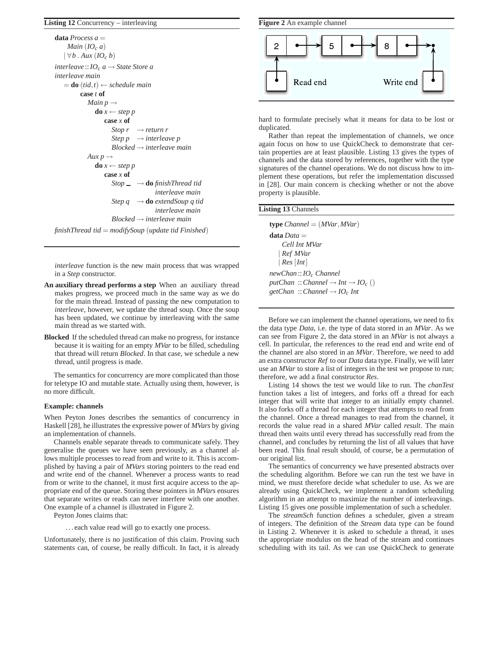**data** *Process*  $a =$ *Main* (*IOc a*) | ∀*b* . *Aux* (*IOc b*)  $interleave::IO<sub>c</sub> a \rightarrow State Store a$ *interleave main*  $=$ **do** (*tid*,*t*)  $\leftarrow$  *schedule main* **case** *t* **of** *Main p*  $\rightarrow$  $\mathbf{do} \ x \leftarrow \ \text{step } p$ **case** *x* **of** *Stop r* → *return r Step p* → *interleave p Blocked* → *interleave main Aux p*  $\rightarrow$ **do** *x* ← *step p* **case** *x* **of**  $Stop \_ \rightarrow$  **do** *finishThread tid interleave main Step q*  $\rightarrow$  **do** *extendSoup q tid interleave main Blocked* → *interleave main finishThread tid* = *modifySoup* (*update tid Finished*)

*interleave* function is the new main process that was wrapped in a *Step* constructor.

- **An auxiliary thread performs a step** When an auxiliary thread makes progress, we proceed much in the same way as we do for the main thread. Instead of passing the new computation to *interleave*, however, we update the thread soup. Once the soup has been updated, we continue by interleaving with the same main thread as we started with.
- **Blocked** If the scheduled thread can make no progress, for instance because it is waiting for an empty *MVar* to be filled, scheduling that thread will return *Blocked*. In that case, we schedule a new thread, until progress is made.

The semantics for concurrency are more complicated than those for teletype IO and mutable state. Actually using them, however, is no more difficult.

#### **Example: channels**

When Peyton Jones describes the semantics of concurrency in Haskell [28], he illustrates the expressive power of *MVars* by giving an implementation of channels.

Channels enable separate threads to communicate safely. They generalise the queues we have seen previously, as a channel allows multiple processes to read from and write to it. This is accomplished by having a pair of *MVars* storing pointers to the read end and write end of the channel. Whenever a process wants to read from or write to the channel, it must first acquire access to the appropriate end of the queue. Storing these pointers in *MVars* ensures that separate writes or reads can never interfere with one another. One example of a channel is illustrated in Figure 2.

Peyton Jones claims that:

. . . each value read will go to exactly one process.

Unfortunately, there is no justification of this claim. Proving such statements can, of course, be really difficult. In fact, it is already



hard to formulate precisely what it means for data to be lost or duplicated.

Rather than repeat the implementation of channels, we once again focus on how to use QuickCheck to demonstrate that certain properties are at least plausible. Listing 13 gives the types of channels and the data stored by references, together with the type signatures of the channel operations. We do not discuss how to implement these operations, but refer the implementation discussed in [28]. Our main concern is checking whether or not the above property is plausible.

#### **Listing 13** Channels

**type** *Channel* = (*MVar*,*MVar*) **data** *Data* = *Cell Int MVar* | *Ref MVar* | *Res* [*Int*] *newChan* ::*IOc Channel*  $putChan :: Channel \rightarrow Int \rightarrow IO_{c}()$ *getChan* ::*Channel* → *IOc Int*

Before we can implement the channel operations, we need to fix the data type *Data*, i.e. the type of data stored in an *MVar*. As we can see from Figure 2, the data stored in an *MVar* is not always a cell. In particular, the references to the read end and write end of the channel are also stored in an *MVar*. Therefore, we need to add an extra constructor *Ref* to our *Data* data type. Finally, we will later use an *MVar* to store a list of integers in the test we propose to run; therefore, we add a final constructor *Res*.

Listing 14 shows the test we would like to run. The *chanTest* function takes a list of integers, and forks off a thread for each integer that will write that integer to an initially empty channel. It also forks off a thread for each integer that attempts to read from the channel. Once a thread manages to read from the channel, it records the value read in a shared *MVar* called *result*. The main thread then waits until every thread has successfully read from the channel, and concludes by returning the list of all values that have been read. This final result should, of course, be a permutation of our original list.

The semantics of concurrency we have presented abstracts over the scheduling algorithm. Before we can run the test we have in mind, we must therefore decide what scheduler to use. As we are already using QuickCheck, we implement a random scheduling algorithm in an attempt to maximize the number of interleavings. Listing 15 gives one possible implementation of such a scheduler.

The *streamSch* function defines a scheduler, given a stream of integers. The definition of the *Stream* data type can be found in Listing 2. Whenever it is asked to schedule a thread, it uses the appropriate modulus on the head of the stream and continues scheduling with its tail. As we can use QuickCheck to generate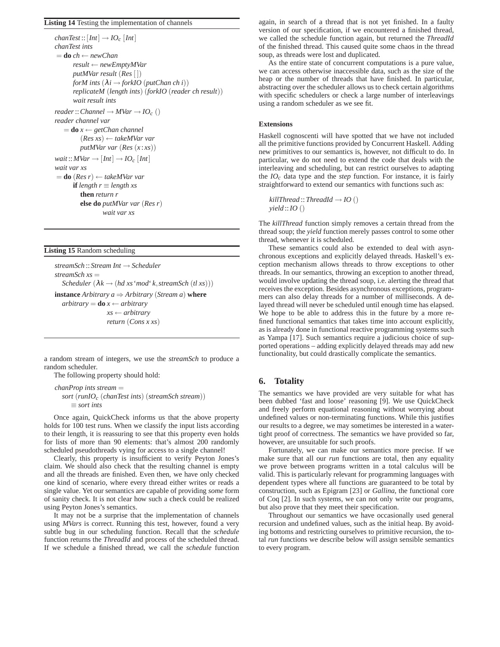## **Listing 14** Testing the implementation of channels

*chanTest* ::  $[Int] \rightarrow IO_c[Int]$ *chanTest ints*  $=$ **do** *ch*  $\leftarrow$  *newChan result* ← *newEmptyMVar putMVar result* (*Res* [ ]) *forM ints*  $(\lambda i \rightarrow$  *forkIO* (*putChan ch i*)) *replicateM* (*length ints*) (*forkIO* (*reader ch result*)) *wait result ints*  $reader::Channel \rightarrow MVar \rightarrow IO_c()$ *reader channel var*  $=$ **do**  $x \leftarrow$  *getChan channel* (*Res xs*) ← *takeMVar var putMVar var* (*Res* (*x* : *xs*))  $wait::MVar \rightarrow [Int] \rightarrow IO_c$  [*Int*] *wait var xs*  $=$ **do** (*Res r*)  $\leftarrow$  *takeMVar var* **if** *length*  $r \equiv$  *length* xs **then** *return r* **else do** *putMVar var* (*Res r*) *wait var xs*

# **Listing 15** Random scheduling

*streamSch* :: *Stream Int* → *Scheduler streamSch xs* = *Scheduler*  $(\lambda k \rightarrow (hd \, xs \, 'mod \, 'k, streamSch \, (tl \, xs)))$ **instance** *Arbitrary*  $a \Rightarrow$  *Arbitrary* (*Stream a*) **where**  $arbitrary = \mathbf{do} \ x \leftarrow arbitrary$ *xs* ← *arbitrary return* (*Cons x xs*)

a random stream of integers, we use the *streamSch* to produce a random scheduler.

The following property should hold:

*chanProp ints stream* = *sort* (*runIOc* (*chanTest ints*) (*streamSch stream*)) ≡ *sort ints*

Once again, QuickCheck informs us that the above property holds for 100 test runs. When we classify the input lists according to their length, it is reassuring to see that this property even holds for lists of more than 90 elements: that's almost 200 randomly scheduled pseudothreads vying for access to a single channel!

Clearly, this property is insufficient to verify Peyton Jones's claim. We should also check that the resulting channel is empty and all the threads are finished. Even then, we have only checked one kind of scenario, where every thread either writes or reads a single value. Yet our semantics are capable of providing *some* form of sanity check. It is not clear how such a check could be realized using Peyton Jones's semantics.

It may not be a surprise that the implementation of channels using *MVars* is correct. Running this test, however, found a very subtle bug in our scheduling function. Recall that the *schedule* function returns the *ThreadId* and process of the scheduled thread. If we schedule a finished thread, we call the *schedule* function

again, in search of a thread that is not yet finished. In a faulty version of our specification, if we encountered a finished thread, we called the schedule function again, but returned the *ThreadId* of the finished thread. This caused quite some chaos in the thread soup, as threads were lost and duplicated.

As the entire state of concurrent computations is a pure value, we can access otherwise inaccessible data, such as the size of the heap or the number of threads that have finished. In particular, abstracting over the scheduler allows us to check certain algorithms with specific schedulers or check a large number of interleavings using a random scheduler as we see fit.

## **Extensions**

Haskell cognoscenti will have spotted that we have not included all the primitive functions provided by Concurrent Haskell. Adding new primitives to our semantics is, however, not difficult to do. In particular, we do not need to extend the code that deals with the interleaving and scheduling, but can restrict ourselves to adapting the *IOc* data type and the *step* function. For instance, it is fairly straightforward to extend our semantics with functions such as:

*killThread* :: *ThreadId*  $\rightarrow$  *IO* () *yield* ::*IO* ()

The *killThread* function simply removes a certain thread from the thread soup; the *yield* function merely passes control to some other thread, whenever it is scheduled.

These semantics could also be extended to deal with asynchronous exceptions and explicitly delayed threads. Haskell's exception mechanism allows threads to throw exceptions to other threads. In our semantics, throwing an exception to another thread, would involve updating the thread soup, i.e. alerting the thread that receives the exception. Besides asynchronous exceptions, programmers can also delay threads for a number of milliseconds. A delayed thread will never be scheduled until enough time has elapsed. We hope to be able to address this in the future by a more refined functional semantics that takes time into account explicitly, as is already done in functional reactive programming systems such as Yampa [17]. Such semantics require a judicious choice of supported operations – adding explicitly delayed threads may add new functionality, but could drastically complicate the semantics.

# **6. Totality**

The semantics we have provided are very suitable for what has been dubbed 'fast and loose' reasoning [9]. We use QuickCheck and freely perform equational reasoning without worrying about undefined values or non-terminating functions. While this justifies our results to a degree, we may sometimes be interested in a watertight proof of correctness. The semantics we have provided so far, however, are unsuitable for such proofs.

Fortunately, we can make our semantics more precise. If we make sure that all our *run* functions are total, then any equality we prove between programs written in a total calculus will be valid. This is particularly relevant for programming languages with dependent types where all functions are guaranteed to be total by construction, such as Epigram [23] or *Gallina*, the functional core of Coq [2]. In such systems, we can not only write our programs, but also prove that they meet their specification.

Throughout our semantics we have occasionally used general recursion and undefined values, such as the initial heap. By avoiding bottoms and restricting ourselves to primitive recursion, the total *run* functions we describe below will assign sensible semantics to every program.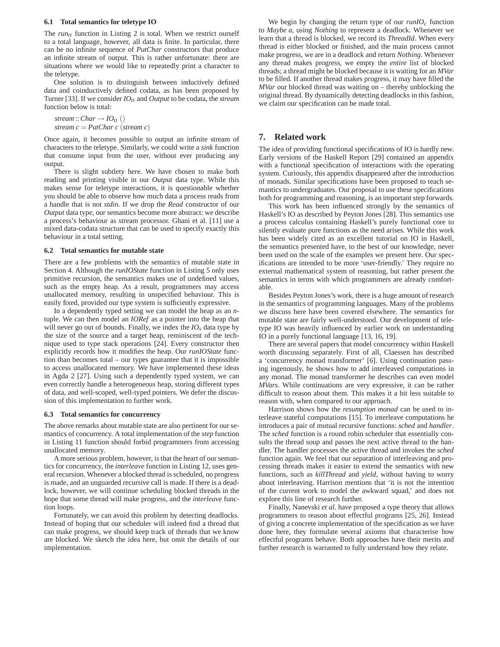#### **6.1 Total semantics for teletype IO**

The  $run_{tt}$  function in Listing 2 is total. When we restrict ourself to a total language, however, all data is finite. In particular, there can be no infinite sequence of *PutChar* constructors that produce an infinite stream of output. This is rather unfortunate: there are situations where we would like to repeatedly print a character to the teletype.

One solution is to distinguish between inductively defined data and coinductively defined codata, as has been proposed by Turner [33]. If we consider *IOtt* and *Output* to be codata, the *stream* function below is total:

*stream* :: *Char*  $\rightarrow$  *IO*<sub>*tt*</sub> () *stream*  $c = PutChar\ c\ (stream\ c)$ 

Once again, it becomes possible to output an infinite stream of characters to the teletype. Similarly, we could write a *sink* function that consume input from the user, without ever producing any output.

There is slight subtlety here. We have chosen to make both reading and printing visible in our *Output* data type. While this makes sense for teletype interactions, it is questionable whether you should be able to observe how much data a process reads from a handle that is not *stdin*. If we drop the *Read* constructor of our *Output* data type, our semantics become more abstract: we describe a process's behaviour as stream processor. Ghani et al. [11] use a mixed data-codata structure that can be used to specify exactly this behaviour in a total setting.

#### **6.2 Total semantics for mutable state**

There are a few problems with the semantics of mutable state in Section 4. Although the *runIOState* function in Listing 5 only uses primitive recursion, the semantics makes use of undefined values, such as the empty heap. As a result, programmers may access unallocated memory, resulting in unspecified behaviour. This is easily fixed, provided our type system is sufficiently expressive.

In a dependently typed setting we can model the heap as an *n*tuple. We can then model an *IORef* as a pointer into the heap that will never go out of bounds. Finally, we index the *IOs* data type by the size of the source and a target heap, reminiscent of the technique used to type stack operations [24]. Every constructor then explicitly records how it modifies the heap. Our *runIOState* function than becomes total – our types guarantee that it is impossible to access unallocated memory. We have implemented these ideas in Agda 2 [27]. Using such a dependently typed system, we can even correctly handle a heterogeneous heap, storing different types of data, and well-scoped, well-typed pointers. We defer the discussion of this implementation to further work.

#### **6.3 Total semantics for concurrency**

The above remarks about mutable state are also pertinent for our semantics of concurrency. A total implementation of the *step* function in Listing 11 function should forbid programmers from accessing unallocated memory.

A more serious problem, however, is that the heart of our semantics for concurrency, the *interleave* function in Listing 12, uses general recursion. Whenever a blocked thread is scheduled, no progress is made, and an unguarded recursive call is made. If there is a deadlock, however, we will continue scheduling blocked threads in the hope that some thread will make progress, and the *interleave* function loops.

Fortunately, we can avoid this problem by detecting deadlocks. Instead of hoping that our scheduler will indeed find a thread that can make progress, we should keep track of threads that we know are blocked. We sketch the idea here, but omit the details of our implementation.

We begin by changing the return type of our  $runIO<sub>c</sub>$  function to *Maybe a*, using *Nothing* to represent a deadlock. Whenever we learn that a thread is blocked, we record its *ThreadId*. When every thread is either blocked or finished, and the main process cannot make progress, we are in a deadlock and return *Nothing*. Whenever any thread makes progress, we empty the *entire* list of blocked threads; a thread might be blocked because it is waiting for an *MVar* to be filled. If another thread makes progress, it may have filled the *MVar* our blocked thread was waiting on – thereby unblocking the original thread. By dynamically detecting deadlocks in this fashion, we claim our specification can be made total.

# **7. Related work**

The idea of providing functional specifications of IO is hardly new. Early versions of the Haskell Report [29] contained an appendix with a functional specification of interactions with the operating system. Curiously, this appendix disappeared after the introduction of monads. Similar specifications have been proposed to teach semantics to undergraduates. Our proposal to use these specifications both for programming and reasoning, is an important step forwards.

This work has been influenced strongly by the semantics of Haskell's IO as described by Peyton Jones [28]. This semantics use a process calculus containing Haskell's purely functional core to silently evaluate pure functions as the need arises. While this work has been widely cited as an excellent tutorial on IO in Haskell, the semantics presented have, to the best of our knowledge, never been used on the scale of the examples we present here. Our specifications are intended to be more 'user-friendly.' They require no external mathematical system of reasoning, but rather present the semantics in terms with which programmers are already comfortable.

Besides Peyton Jones's work, there is a huge amount of research in the semantics of programming languages. Many of the problems we discuss here have been covered elsewhere. The semantics for mutable state are fairly well-understood. Our development of teletype IO was heavily influenced by earlier work on understanding IO in a purely functional language [13, 16, 19].

There are several papers that model concurrency within Haskell worth discussing separately. First of all, Claessen has described a 'concurrency monad transformer' [6]. Using continuation passing ingenously, he shows how to add interleaved computations in any monad. The monad transformer he describes can even model *MVars*. While continuations are very expressive, it can be rather difficult to reason about them. This makes it a bit less suitable to reason with, when compared to our approach.

Harrison shows how the *resumption monad* can be used to interleave stateful computations [15]. To interleave computations he introduces a pair of mutual recursive functions: *sched* and *handler*. The *sched* function is a round robin scheduler that essentially consults the thread soup and passes the next active thread to the handler. The handler processes the active thread and invokes the *sched* function again. We feel that our separation of interleaving and processing threads makes it easier to extend the semantics with new functions, such as *killThread* and *yield*, without having to worry about interleaving. Harrison mentions that 'it is not the intention of the current work to model the awkward squad,' and does not explore this line of research further.

Finally, Nanevski *et al.* have proposed a type theory that allows programmers to reason about effectful programs [25, 26]. Instead of giving a concrete implementation of the specification as we have done here, they formulate several axioms that characterise how effectful programs behave. Both approaches have their merits and further research is warranted to fully understand how they relate.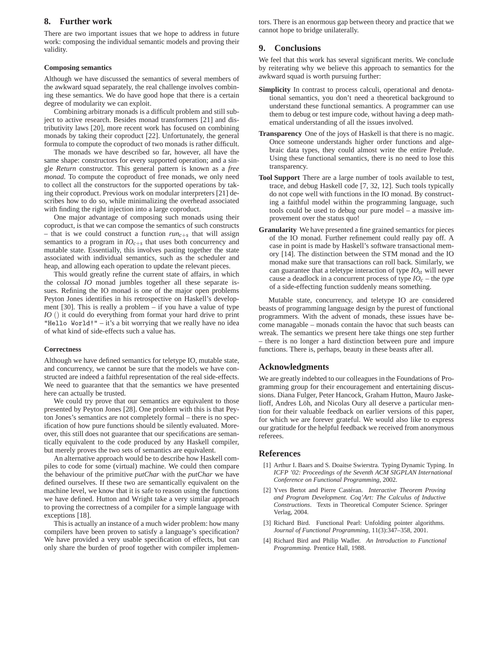# **8. Further work**

There are two important issues that we hope to address in future work: composing the individual semantic models and proving their validity.

#### **Composing semantics**

Although we have discussed the semantics of several members of the awkward squad separately, the real challenge involves combining these semantics. We do have good hope that there is a certain degree of modularity we can exploit.

Combining arbitrary monads is a difficult problem and still subject to active research. Besides monad transformers [21] and distributivity laws [20], more recent work has focused on combining monads by taking their coproduct [22]. Unfortunately, the general formula to compute the coproduct of two monads is rather difficult.

The monads we have described so far, however, all have the same shape: constructors for every supported operation; and a single *Return* constructor. This general pattern is known as a *free monad*. To compute the coproduct of free monads, we only need to collect all the constructors for the supported operations by taking their coproduct. Previous work on modular interpreters [21] describes how to do so, while minimalizing the overhead associated with finding the right injection into a large coproduct.

One major advantage of composing such monads using their coproduct, is that we can compose the semantics of such constructs – that is we could construct a function  $run_{c+s}$  that will assign semantics to a program in  $IO_{c+s}$  that uses both concurrency and mutable state. Essentially, this involves pasting together the state associated with individual semantics, such as the scheduler and heap, and allowing each operation to update the relevant pieces.

This would greatly refine the current state of affairs, in which the colossal *IO* monad jumbles together all these separate issues. Refining the IO monad is one of the major open problems Peyton Jones identifies in his retrospective on Haskell's development [30]. This is really a problem – if you have a value of type *IO* () it could do everything from format your hard drive to print "Hello World!"  $-$  it's a bit worrying that we really have no idea of what kind of side-effects such a value has.

## **Correctness**

Although we have defined semantics for teletype IO, mutable state, and concurrency, we cannot be sure that the models we have constructed are indeed a faithful representation of the real side-effects. We need to guarantee that that the semantics we have presented here can actually be trusted.

We could try prove that our semantics are equivalent to those presented by Peyton Jones [28]. One problem with this is that Peyton Jones's semantics are not completely formal – there is no specification of how pure functions should be silently evaluated. Moreover, this still does not guarantee that our specifications are semantically equivalent to the code produced by any Haskell compiler, but merely proves the two sets of semantics are equivalent.

An alternative approach would be to describe how Haskell compiles to code for some (virtual) machine. We could then compare the behaviour of the primitive *putChar* with the *putChar* we have defined ourselves. If these two are semantically equivalent on the machine level, we know that it is safe to reason using the functions we have defined. Hutton and Wright take a very similar approach to proving the correctness of a compiler for a simple language with exceptions [18].

This is actually an instance of a much wider problem: how many compilers have been proven to satisfy a language's specification? We have provided a very usable specification of effects, but can only share the burden of proof together with compiler implementors. There is an enormous gap between theory and practice that we cannot hope to bridge unilaterally.

# **9. Conclusions**

We feel that this work has several significant merits. We conclude by reiterating why we believe this approach to semantics for the awkward squad is worth pursuing further:

- **Simplicity** In contrast to process calculi, operational and denotational semantics, you don't need a theoretical background to understand these functional semantics. A programmer can use them to debug or test impure code, without having a deep mathematical understanding of all the issues involved.
- **Transparency** One of the joys of Haskell is that there is no magic. Once someone understands higher order functions and algebraic data types, they could almost write the entire Prelude. Using these functional semantics, there is no need to lose this transparency.
- **Tool Support** There are a large number of tools available to test, trace, and debug Haskell code [7, 32, 12]. Such tools typically do not cope well with functions in the IO monad. By constructing a faithful model within the programming language, such tools could be used to debug our pure model – a massive improvement over the status quo!
- **Granularity** We have presented a fine grained semantics for pieces of the IO monad. Further refinement could really pay off. A case in point is made by Haskell's software transactional memory [14]. The distinction between the STM monad and the IO monad make sure that transactions can roll back. Similarly, we can guarantee that a teletype interaction of type  $IO<sub>tt</sub>$  will never cause a deadlock in a concurrent process of type *IOc* – the *type* of a side-effecting function suddenly means something.

Mutable state, concurrency, and teletype IO are considered beasts of programming language design by the purest of functional programmers. With the advent of monads, these issues have become managable – monads contain the havoc that such beasts can wreak. The semantics we present here take things one step further – there is no longer a hard distinction between pure and impure functions. There is, perhaps, beauty in these beasts after all.

## **Acknowledgments**

We are greatly indebted to our colleagues in the Foundations of Programming group for their encouragement and entertaining discussions. Diana Fulger, Peter Hancock, Graham Hutton, Mauro Jaskelioff, Andres Löh, and Nicolas Oury all deserve a particular mention for their valuable feedback on earlier versions of this paper, for which we are forever grateful. We would also like to express our gratitude for the helpful feedback we received from anonymous referees.

# **References**

- [1] Arthur I. Baars and S. Doaitse Swierstra. Typing Dynamic Typing. In *ICFP '02: Proceedings of the Seventh ACM SIGPLAN International Conference on Functional Programming*, 2002.
- [2] Yves Bertot and Pierre Castéran. *Interactive Theorem Proving and Program Development. Coq'Art: The Calculus of Inductive Constructions*. Texts in Theoretical Computer Science. Springer Verlag, 2004.
- [3] Richard Bird. Functional Pearl: Unfolding pointer algorithms. *Journal of Functional Programming*, 11(3):347–358, 2001.
- [4] Richard Bird and Philip Wadler. *An Introduction to Functional Programming*. Prentice Hall, 1988.